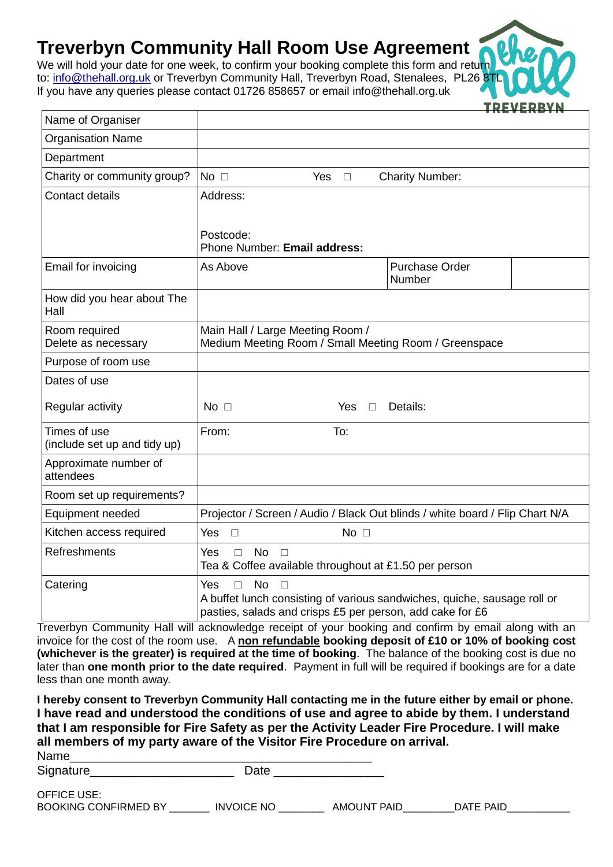## **Treverbyn Community Hall Room Use Agreement**

We will hold your date for one week, to confirm your booking complete this form and return to: [in](mailto:i)fo@thehall.org.uk or Treverbyn Community Hall, Treverbyn Road, Stenalees, PL26 8TI If you have any queries please contact 01726 858657 or email info@thehall.org.uk

| Name of Organiser                            |                                                                                                          |                      |                                                                              |  |
|----------------------------------------------|----------------------------------------------------------------------------------------------------------|----------------------|------------------------------------------------------------------------------|--|
| <b>Organisation Name</b>                     |                                                                                                          |                      |                                                                              |  |
| Department                                   |                                                                                                          |                      |                                                                              |  |
| Charity or community group?                  | No $\square$                                                                                             | <b>Yes</b><br>$\Box$ | <b>Charity Number:</b>                                                       |  |
| Contact details                              | Address:                                                                                                 |                      |                                                                              |  |
|                                              |                                                                                                          |                      |                                                                              |  |
|                                              | Postcode:                                                                                                |                      |                                                                              |  |
|                                              | Phone Number: Email address:                                                                             |                      |                                                                              |  |
| Email for invoicing                          | As Above                                                                                                 |                      | <b>Purchase Order</b><br>Number                                              |  |
| How did you hear about The<br>Hall           |                                                                                                          |                      |                                                                              |  |
| Room required                                | Main Hall / Large Meeting Room /<br>Medium Meeting Room / Small Meeting Room / Greenspace                |                      |                                                                              |  |
| Delete as necessary                          |                                                                                                          |                      |                                                                              |  |
| Purpose of room use                          |                                                                                                          |                      |                                                                              |  |
| Dates of use                                 |                                                                                                          |                      |                                                                              |  |
| Regular activity                             | $No$ $\Box$                                                                                              | <b>Yes</b><br>$\Box$ | Details:                                                                     |  |
| Times of use<br>(include set up and tidy up) | From:                                                                                                    | To:                  |                                                                              |  |
| Approximate number of<br>attendees           |                                                                                                          |                      |                                                                              |  |
| Room set up requirements?                    |                                                                                                          |                      |                                                                              |  |
| Equipment needed                             |                                                                                                          |                      | Projector / Screen / Audio / Black Out blinds / white board / Flip Chart N/A |  |
| Kitchen access required                      | Yes<br>$\Box$                                                                                            | $No$ $\Box$          |                                                                              |  |
| Refreshments                                 | No<br><b>Yes</b><br>$\Box$<br>$\Box$<br>Tea & Coffee available throughout at £1.50 per person            |                      |                                                                              |  |
| Catering                                     | <b>No</b><br><b>Yes</b><br>$\Box$<br>$\Box$<br>pasties, salads and crisps £5 per person, add cake for £6 |                      | A buffet lunch consisting of various sandwiches, quiche, sausage roll or     |  |

TRFVF

Treverbyn Community Hall will acknowledge receipt of your booking and confirm by email along with an invoice for the cost of the room use. A **non refundable booking deposit of £10 or 10% of booking cost (whichever is the greater) is required at the time of booking**. The balance of the booking cost is due no later than **one month prior to the date required**. Payment in full will be required if bookings are for a date less than one month away.

**I hereby consent to Treverbyn Community Hall contacting me in the future either by email or phone. I have read and understood the conditions of use and agree to abide by them. I understand that I am responsible for Fire Safety as per the Activity Leader Fire Procedure. I will make all members of my party aware of the Visitor Fire Procedure on arrival.**

| Name      |  |
|-----------|--|
| Signature |  |

| OFFICE USE:                 |                   |                    |           |
|-----------------------------|-------------------|--------------------|-----------|
| <b>BOOKING CONFIRMED BY</b> | <b>INVOICE NO</b> | <b>AMOUNT PAID</b> | DATE PAID |
|                             |                   |                    |           |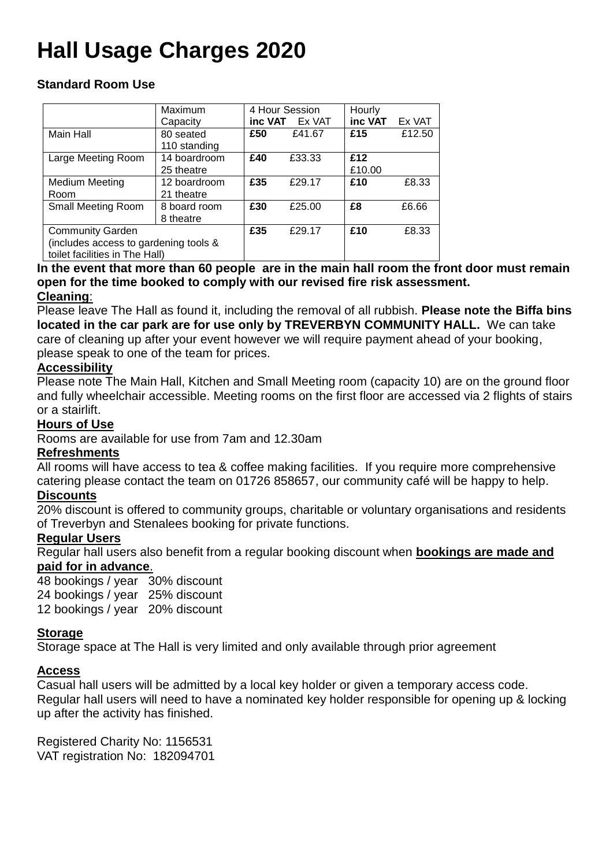# **Hall Usage Charges 2020**

## **Standard Room Use**

|                                       | Maximum      |     | 4 Hour Session | Hourly  |        |
|---------------------------------------|--------------|-----|----------------|---------|--------|
|                                       | Capacity     |     | inc VAT Ex VAT | inc VAT | Ex VAT |
| Main Hall                             | 80 seated    | £50 | £41.67         | £15     | £12.50 |
|                                       | 110 standing |     |                |         |        |
| Large Meeting Room                    | 14 boardroom | £40 | £33.33         | £12     |        |
|                                       | 25 theatre   |     |                | £10.00  |        |
| <b>Medium Meeting</b>                 | 12 boardroom | £35 | £29.17         | £10     | £8.33  |
| Room                                  | 21 theatre   |     |                |         |        |
| <b>Small Meeting Room</b>             | 8 board room | £30 | £25.00         | £8      | £6.66  |
|                                       | 8 theatre    |     |                |         |        |
| <b>Community Garden</b>               |              | £35 | £29.17         | £10     | £8.33  |
| (includes access to gardening tools & |              |     |                |         |        |
| toilet facilities in The Hall)        |              |     |                |         |        |

## **In the event that more than 60 people are in the main hall room the front door must remain open for the time booked to comply with our revised fire risk assessment.**

## **Cleaning**:

Please leave The Hall as found it, including the removal of all rubbish. **Please note the Biffa bins located in the car park are for use only by TREVERBYN COMMUNITY HALL.** We can take care of cleaning up after your event however we will require payment ahead of your booking, please speak to one of the team for prices.

## **Accessibility**

Please note The Main Hall, Kitchen and Small Meeting room (capacity 10) are on the ground floor and fully wheelchair accessible. Meeting rooms on the first floor are accessed via 2 flights of stairs or a stairlift.

## **Hours of Use**

Rooms are available for use from 7am and 12.30am

## **Refreshments**

All rooms will have access to tea & coffee making facilities. If you require more comprehensive catering please contact the team on 01726 858657, our community café will be happy to help.

## **Discounts**

20% discount is offered to community groups, charitable or voluntary organisations and residents of Treverbyn and Stenalees booking for private functions.

## **Regular Users**

Regular hall users also benefit from a regular booking discount when **bookings are made and paid for in advance**.

48 bookings / year 30% discount 24 bookings / year 25% discount 12 bookings / year 20% discount

## **Storage**

Storage space at The Hall is very limited and only available through prior agreement

## **Access**

Casual hall users will be admitted by a local key holder or given a temporary access code. Regular hall users will need to have a nominated key holder responsible for opening up & locking up after the activity has finished.

Registered Charity No: 1156531 VAT registration No: 182094701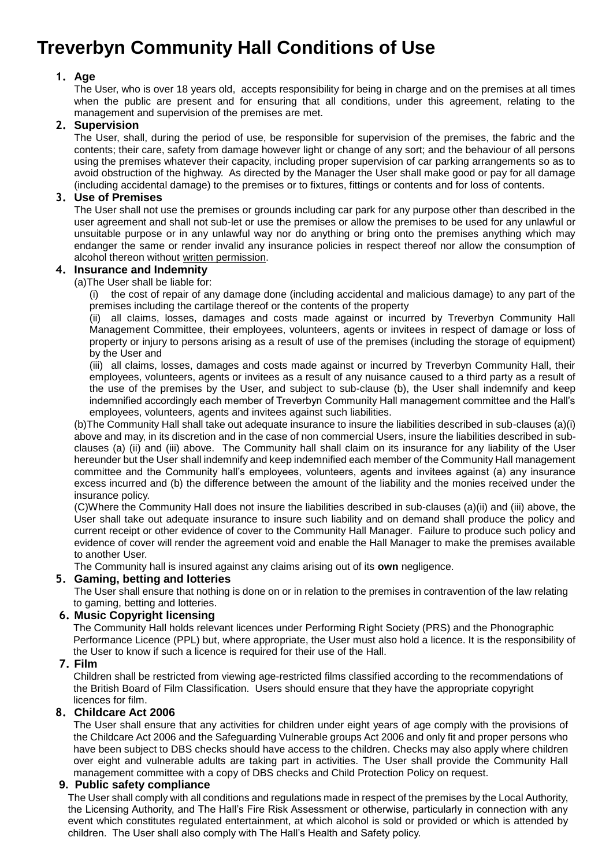## **Treverbyn Community Hall Conditions of Use**

#### **1. Age**

The User, who is over 18 years old, accepts responsibility for being in charge and on the premises at all times when the public are present and for ensuring that all conditions, under this agreement, relating to the management and supervision of the premises are met.

#### **2. Supervision**

The User, shall, during the period of use, be responsible for supervision of the premises, the fabric and the contents; their care, safety from damage however light or change of any sort; and the behaviour of all persons using the premises whatever their capacity, including proper supervision of car parking arrangements so as to avoid obstruction of the highway. As directed by the Manager the User shall make good or pay for all damage (including accidental damage) to the premises or to fixtures, fittings or contents and for loss of contents.

#### **3. Use of Premises**

The User shall not use the premises or grounds including car park for any purpose other than described in the user agreement and shall not sub-let or use the premises or allow the premises to be used for any unlawful or unsuitable purpose or in any unlawful way nor do anything or bring onto the premises anything which may endanger the same or render invalid any insurance policies in respect thereof nor allow the consumption of alcohol thereon without written permission.

#### **4. Insurance and Indemnity**

(a)The User shall be liable for:

(i) the cost of repair of any damage done (including accidental and malicious damage) to any part of the premises including the cartilage thereof or the contents of the property

(ii) all claims, losses, damages and costs made against or incurred by Treverbyn Community Hall Management Committee, their employees, volunteers, agents or invitees in respect of damage or loss of property or injury to persons arising as a result of use of the premises (including the storage of equipment) by the User and

(iii) all claims, losses, damages and costs made against or incurred by Treverbyn Community Hall, their employees, volunteers, agents or invitees as a result of any nuisance caused to a third party as a result of the use of the premises by the User, and subject to sub-clause (b), the User shall indemnify and keep indemnified accordingly each member of Treverbyn Community Hall management committee and the Hall's employees, volunteers, agents and invitees against such liabilities.

(b)The Community Hall shall take out adequate insurance to insure the liabilities described in sub-clauses (a)(i) above and may, in its discretion and in the case of non commercial Users, insure the liabilities described in subclauses (a) (ii) and (iii) above. The Community hall shall claim on its insurance for any liability of the User hereunder but the User shall indemnify and keep indemnified each member of the Community Hall management committee and the Community hall's employees, volunteers, agents and invitees against (a) any insurance excess incurred and (b) the difference between the amount of the liability and the monies received under the insurance policy.

(C)Where the Community Hall does not insure the liabilities described in sub-clauses (a)(ii) and (iii) above, the User shall take out adequate insurance to insure such liability and on demand shall produce the policy and current receipt or other evidence of cover to the Community Hall Manager. Failure to produce such policy and evidence of cover will render the agreement void and enable the Hall Manager to make the premises available to another User.

The Community hall is insured against any claims arising out of its **own** negligence.

#### **5. Gaming, betting and lotteries**

The User shall ensure that nothing is done on or in relation to the premises in contravention of the law relating to gaming, betting and lotteries.

#### **6. Music Copyright licensing**

The Community Hall holds relevant licences under Performing Right Society (PRS) and the Phonographic Performance Licence (PPL) but, where appropriate, the User must also hold a licence. It is the responsibility of the User to know if such a licence is required for their use of the Hall.

#### **7. Film**

Children shall be restricted from viewing age-restricted films classified according to the recommendations of the British Board of Film Classification. Users should ensure that they have the appropriate copyright licences for film.

#### **8. Childcare Act 2006**

The User shall ensure that any activities for children under eight years of age comply with the provisions of the Childcare Act 2006 and the Safeguarding Vulnerable groups Act 2006 and only fit and proper persons who have been subject to DBS checks should have access to the children. Checks may also apply where children over eight and vulnerable adults are taking part in activities. The User shall provide the Community Hall management committee with a copy of DBS checks and Child Protection Policy on request.

#### **9. Public safety compliance**

The User shall comply with all conditions and regulations made in respect of the premises by the Local Authority, the Licensing Authority, and The Hall's Fire Risk Assessment or otherwise, particularly in connection with any event which constitutes regulated entertainment, at which alcohol is sold or provided or which is attended by children. The User shall also comply with The Hall's Health and Safety policy.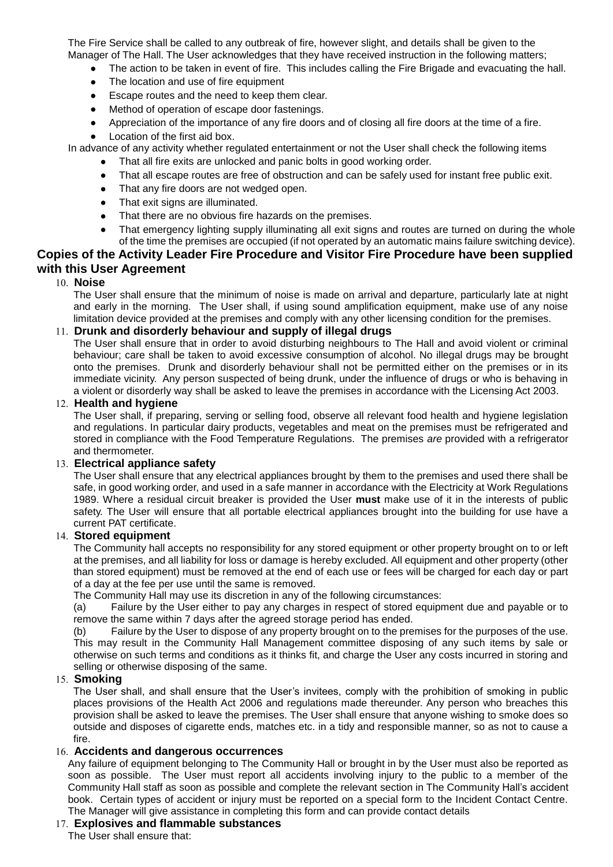The Fire Service shall be called to any outbreak of fire, however slight, and details shall be given to the Manager of The Hall. The User acknowledges that they have received instruction in the following matters;

The action to be taken in event of fire. This includes calling the Fire Brigade and evacuating the hall.

- The location and use of fire equipment
- Escape routes and the need to keep them clear.
- Method of operation of escape door fastenings.
- Appreciation of the importance of any fire doors and of closing all fire doors at the time of a fire.
- Location of the first aid box.

In advance of any activity whether regulated entertainment or not the User shall check the following items

- That all fire exits are unlocked and panic bolts in good working order.
- That all escape routes are free of obstruction and can be safely used for instant free public exit.
- That any fire doors are not wedged open.
- That exit signs are illuminated.
- That there are no obvious fire hazards on the premises.
- That emergency lighting supply illuminating all exit signs and routes are turned on during the whole of the time the premises are occupied (if not operated by an automatic mains failure switching device).

#### **Copies of the Activity Leader Fire Procedure and Visitor Fire Procedure have been supplied with this User Agreement**

#### 10. **Noise**

The User shall ensure that the minimum of noise is made on arrival and departure, particularly late at night and early in the morning. The User shall, if using sound amplification equipment, make use of any noise limitation device provided at the premises and comply with any other licensing condition for the premises.

#### **Drunk and disorderly behaviour and supply of illegal drugs**

The User shall ensure that in order to avoid disturbing neighbours to The Hall and avoid violent or criminal behaviour; care shall be taken to avoid excessive consumption of alcohol. No illegal drugs may be brought onto the premises. Drunk and disorderly behaviour shall not be permitted either on the premises or in its immediate vicinity. Any person suspected of being drunk, under the influence of drugs or who is behaving in a violent or disorderly way shall be asked to leave the premises in accordance with the Licensing Act 2003.

#### 12. **Health and hygiene**

The User shall, if preparing, serving or selling food, observe all relevant food health and hygiene legislation and regulations. In particular dairy products, vegetables and meat on the premises must be refrigerated and stored in compliance with the Food Temperature Regulations. The premises *are* provided with a refrigerator and thermometer.

#### **Electrical appliance safety**

The User shall ensure that any electrical appliances brought by them to the premises and used there shall be safe, in good working order, and used in a safe manner in accordance with the Electricity at Work Regulations 1989. Where a residual circuit breaker is provided the User **must** make use of it in the interests of public safety. The User will ensure that all portable electrical appliances brought into the building for use have a current PAT certificate.

#### **Stored equipment**

The Community hall accepts no responsibility for any stored equipment or other property brought on to or left at the premises, and all liability for loss or damage is hereby excluded. All equipment and other property (other than stored equipment) must be removed at the end of each use or fees will be charged for each day or part of a day at the fee per use until the same is removed.

The Community Hall may use its discretion in any of the following circumstances:

(a) Failure by the User either to pay any charges in respect of stored equipment due and payable or to remove the same within 7 days after the agreed storage period has ended.

(b) Failure by the User to dispose of any property brought on to the premises for the purposes of the use. This may result in the Community Hall Management committee disposing of any such items by sale or otherwise on such terms and conditions as it thinks fit, and charge the User any costs incurred in storing and selling or otherwise disposing of the same.

#### 15. **Smoking**

The User shall, and shall ensure that the User's invitees, comply with the prohibition of smoking in public places provisions of the Health Act 2006 and regulations made thereunder. Any person who breaches this provision shall be asked to leave the premises. The User shall ensure that anyone wishing to smoke does so outside and disposes of cigarette ends, matches etc. in a tidy and responsible manner, so as not to cause a fire.

#### **Accidents and dangerous occurrences**

Any failure of equipment belonging to The Community Hall or brought in by the User must also be reported as soon as possible. The User must report all accidents involving injury to the public to a member of the Community Hall staff as soon as possible and complete the relevant section in The Community Hall's accident book. Certain types of accident or injury must be reported on a special form to the Incident Contact Centre. The Manager will give assistance in completing this form and can provide contact details

#### **Explosives and flammable substances**

The User shall ensure that: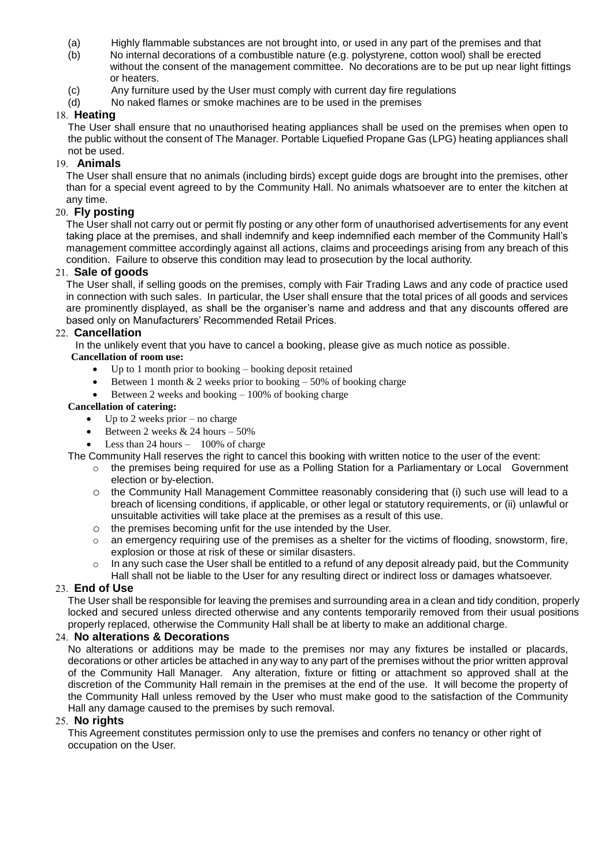- (a) Highly flammable substances are not brought into, or used in any part of the premises and that
- (b) No internal decorations of a combustible nature (e.g. polystyrene, cotton wool) shall be erected without the consent of the management committee. No decorations are to be put up near light fittings or heaters.
- (c) Any furniture used by the User must comply with current day fire regulations
- (d) No naked flames or smoke machines are to be used in the premises

#### 18. **Heating**

The User shall ensure that no unauthorised heating appliances shall be used on the premises when open to the public without the consent of The Manager. Portable Liquefied Propane Gas (LPG) heating appliances shall not be used.

#### **Animals**

The User shall ensure that no animals (including birds) except guide dogs are brought into the premises, other than for a special event agreed to by the Community Hall. No animals whatsoever are to enter the kitchen at any time.

#### **Fly posting**

The User shall not carry out or permit fly posting or any other form of unauthorised advertisements for any event taking place at the premises, and shall indemnify and keep indemnified each member of the Community Hall's management committee accordingly against all actions, claims and proceedings arising from any breach of this condition. Failure to observe this condition may lead to prosecution by the local authority.

#### **Sale of goods**

The User shall, if selling goods on the premises, comply with Fair Trading Laws and any code of practice used in connection with such sales. In particular, the User shall ensure that the total prices of all goods and services are prominently displayed, as shall be the organiser's name and address and that any discounts offered are based only on Manufacturers' Recommended Retail Prices.

#### **Cancellation**

In the unlikely event that you have to cancel a booking, please give as much notice as possible.

#### **Cancellation of room use:**

- $\bullet$  Up to 1 month prior to booking booking deposit retained
- Between 1 month  $& 2$  weeks prior to booking 50% of booking charge
- Between 2 weeks and booking  $-100\%$  of booking charge

#### **Cancellation of catering:**

- $\bullet$  Up to 2 weeks prior no charge
- Between 2 weeks & 24 hours 50%
- Less than 24 hours 100% of charge

The Community Hall reserves the right to cancel this booking with written notice to the user of the event:

- o the premises being required for use as a Polling Station for a Parliamentary or Local Government election or by-election.
- o the Community Hall Management Committee reasonably considering that (i) such use will lead to a breach of licensing conditions, if applicable, or other legal or statutory requirements, or (ii) unlawful or unsuitable activities will take place at the premises as a result of this use.
- o the premises becoming unfit for the use intended by the User.
- an emergency requiring use of the premises as a shelter for the victims of flooding, snowstorm, fire, explosion or those at risk of these or similar disasters.
- $\circ$  In any such case the User shall be entitled to a refund of any deposit already paid, but the Community Hall shall not be liable to the User for any resulting direct or indirect loss or damages whatsoever.

#### **End of Use**

The User shall be responsible for leaving the premises and surrounding area in a clean and tidy condition, properly locked and secured unless directed otherwise and any contents temporarily removed from their usual positions properly replaced, otherwise the Community Hall shall be at liberty to make an additional charge.

#### **No alterations & Decorations**

No alterations or additions may be made to the premises nor may any fixtures be installed or placards, decorations or other articles be attached in any way to any part of the premises without the prior written approval of the Community Hall Manager. Any alteration, fixture or fitting or attachment so approved shall at the discretion of the Community Hall remain in the premises at the end of the use. It will become the property of the Community Hall unless removed by the User who must make good to the satisfaction of the Community Hall any damage caused to the premises by such removal.

#### **No rights**

This Agreement constitutes permission only to use the premises and confers no tenancy or other right of occupation on the User.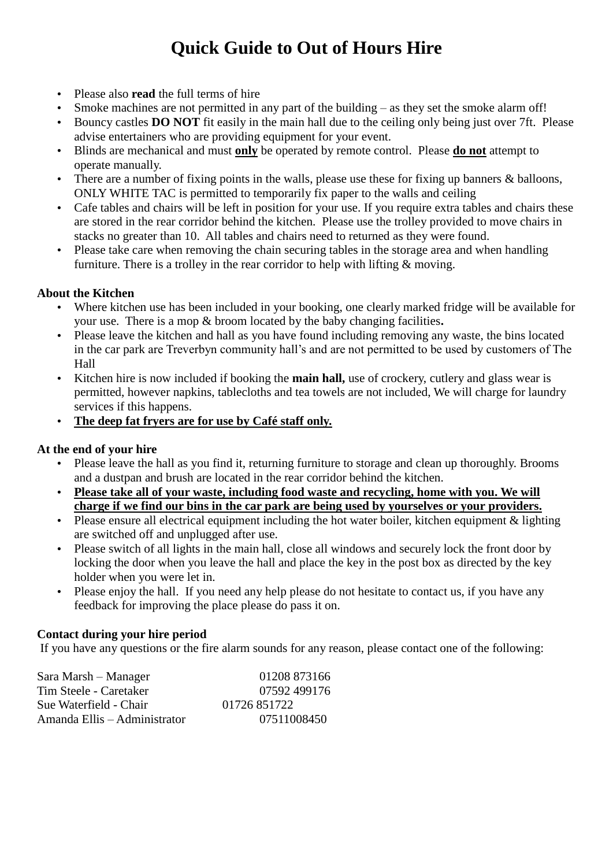## **Quick Guide to Out of Hours Hire**

- Please also **read** the full terms of hire
- Smoke machines are not permitted in any part of the building as they set the smoke alarm off!
- Bouncy castles **DO NOT** fit easily in the main hall due to the ceiling only being just over 7ft. Please advise entertainers who are providing equipment for your event.
- Blinds are mechanical and must **only** be operated by remote control. Please **do not** attempt to operate manually.
- There are a number of fixing points in the walls, please use these for fixing up banners  $\&$  balloons, ONLY WHITE TAC is permitted to temporarily fix paper to the walls and ceiling
- Cafe tables and chairs will be left in position for your use. If you require extra tables and chairs these are stored in the rear corridor behind the kitchen. Please use the trolley provided to move chairs in stacks no greater than 10. All tables and chairs need to returned as they were found.
- Please take care when removing the chain securing tables in the storage area and when handling furniture. There is a trolley in the rear corridor to help with lifting  $&$  moving.

## **About the Kitchen**

- Where kitchen use has been included in your booking, one clearly marked fridge will be available for your use. There is a mop & broom located by the baby changing facilities**.**
- Please leave the kitchen and hall as you have found including removing any waste, the bins located in the car park are Treverbyn community hall's and are not permitted to be used by customers of The Hall
- Kitchen hire is now included if booking the **main hall,** use of crockery, cutlery and glass wear is permitted, however napkins, tablecloths and tea towels are not included, We will charge for laundry services if this happens.
- **The deep fat fryers are for use by Café staff only.**

### **At the end of your hire**

- Please leave the hall as you find it, returning furniture to storage and clean up thoroughly. Brooms and a dustpan and brush are located in the rear corridor behind the kitchen.
- **Please take all of your waste, including food waste and recycling, home with you. We will charge if we find our bins in the car park are being used by yourselves or your providers.**
- Please ensure all electrical equipment including the hot water boiler, kitchen equipment & lighting are switched off and unplugged after use.
- Please switch of all lights in the main hall, close all windows and securely lock the front door by locking the door when you leave the hall and place the key in the post box as directed by the key holder when you were let in.
- Please enjoy the hall. If you need any help please do not hesitate to contact us, if you have any feedback for improving the place please do pass it on.

### **Contact during your hire period**

If you have any questions or the fire alarm sounds for any reason, please contact one of the following:

| Sara Marsh – Manager         | 01208 873166 |
|------------------------------|--------------|
| Tim Steele - Caretaker       | 07592499176  |
| Sue Waterfield - Chair       | 01726 851722 |
| Amanda Ellis – Administrator | 07511008450  |